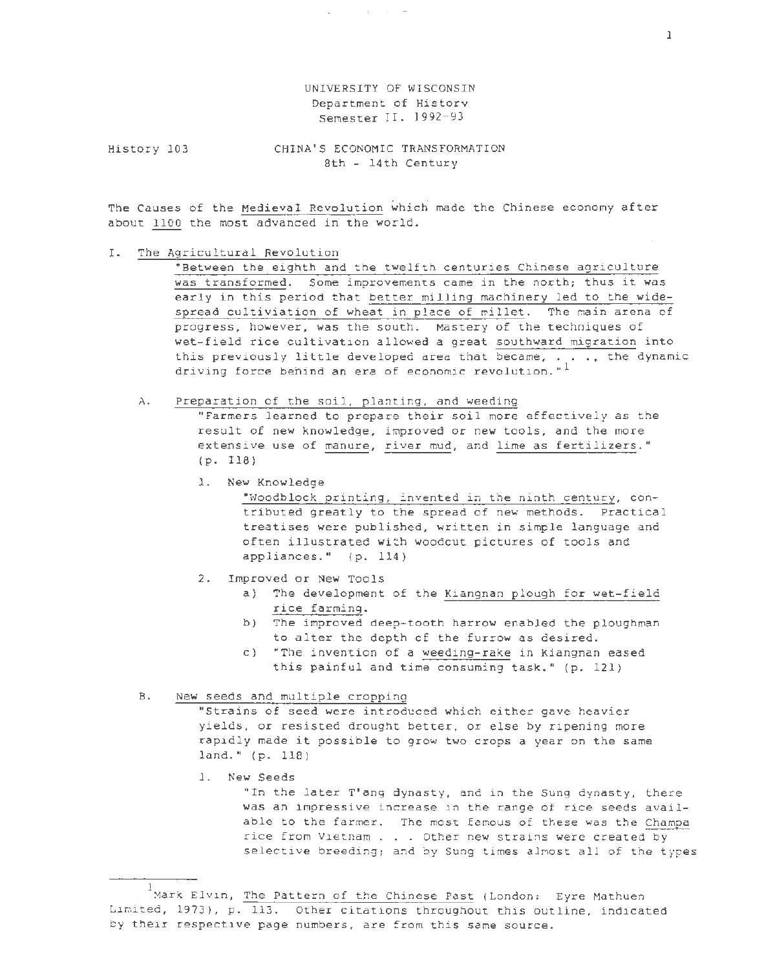UNIVERSITY OF WISCONSIN Department of Historv Semester II, 1992-93

 $\mathcal{L}(\mathcal{L}^{\mathcal{L}})$  ,  $\mathcal{L}(\mathcal{L}^{\mathcal{L}})$  ,  $\mathcal{L}^{\mathcal{L}}$ 

History 103 CHINA'S ECONOMIC TRANSFORMATION 8th - 14th Century

The Causes of the Medieval Revolution which made the Chinese economy after about *1100* the most advanced in the world.

#### I. The Agricultural Revolution

"Between the eighth and the twelfth centuries Chinese agriculture was transformed. Some improvements came in the north; thus it was early in this period that better milling machinery led to the widespread cultiviation of wheat in place of millet. The main arena of progress, however, was the south. Mastery of the techniques of wet-field rice cultivation allowed a great southward migration into wet-field rice cultivation allowed a great southward migration into<br>this previously little developed area that became, ..., the dynamic driving force behind an era of economic revolution."<sup>1</sup>

### A. Preparation of the soil, planting, and weeding

"Farmers learned to prepare their soil more effectively as the result of new knowledge, improved or new tools, and the more extensive use of manure, river mud, and lime as fertilizers." (p. 118)

1. New Knowledge

•woodblock printing, invented in the ninth century, contributed greatly to the spread of new methods. Practical treatises were published, written in simple language and often illustrated with woodcut pictures of tools and appliances." (p. 114)

- 2. Improved or New Tools
	- a) The development of the Kiangnan plough for wet-field rice farming .
	- b) The improved deep-tooth harrow enabled the ploughman to alter the depth of the furrow as desired.
	- c) "The invention of a weeding-rake in Kiangnan eased this painful and time consuming task." (p. 121)

## B. New seeds and multiple cropping

"Strains of seed were introduced which either gave heavier yields, or resisted drought better, or else by ripening more rapidly made it possible to grow two crops a year on the same land." (p. 118)

1. New Seeds

"In the later T'ang dynasty, and in the Sung dynasty, there was an impressive increase in the range of rice seeds available to the farmer. The most famous of these was the Champa rice from Vietnam . . . Other new strains were created by selective breeding; and by Sung times almost all of the types

<sup>&</sup>lt;sup>1</sup> Mark Elvin, The Pattern of the Chinese Past (London: Eyre Mathuen Limited, 1973), p. 113. Other citations throughout this outline, indicated by their respective page numbers, are from this same source.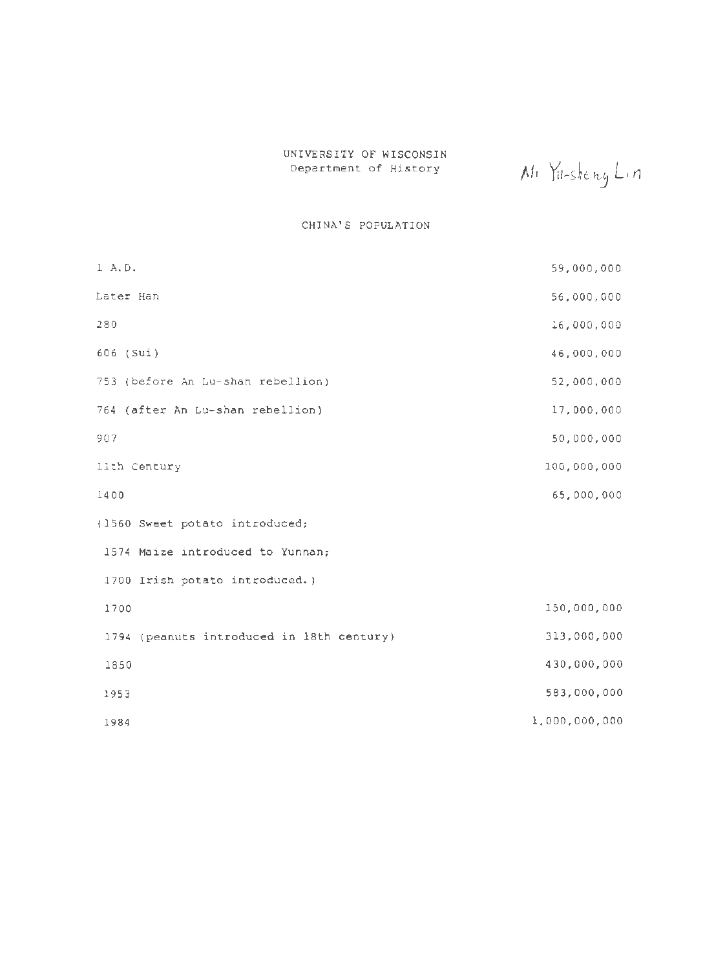# UNIVERSITY OF WISCONSIN Department of History

Mr Yu-sheng Lin

# CHINA'S POPULATION

| 1 A.D.                                    | 59,000,000    |
|-------------------------------------------|---------------|
| Later Han                                 | 56,000,000    |
| 280                                       | 16,000,000    |
| 606 (Sui)                                 | 46,000,000    |
| 753 (before An Lu-shan rebellion)         | 52,000,000    |
| 764 (after An Lu-shan rebellion)          | 17,000,000    |
| 907                                       | 50,000,000    |
| lith Century                              | 100,000,000   |
| 1400                                      | 65,000,000    |
| (1560 Sweet potato introduced;            |               |
| 1574 Maize introduced to Yunnan;          |               |
| 1700 Irish potato introduced.)            |               |
| 1700                                      | 150,000,000   |
| 1794 (peanuts introduced in 18th century) | 313,000,000   |
| 1850                                      | 430,000,000   |
| 1953                                      | 583,000,000   |
| 1984                                      | 1,000,000,000 |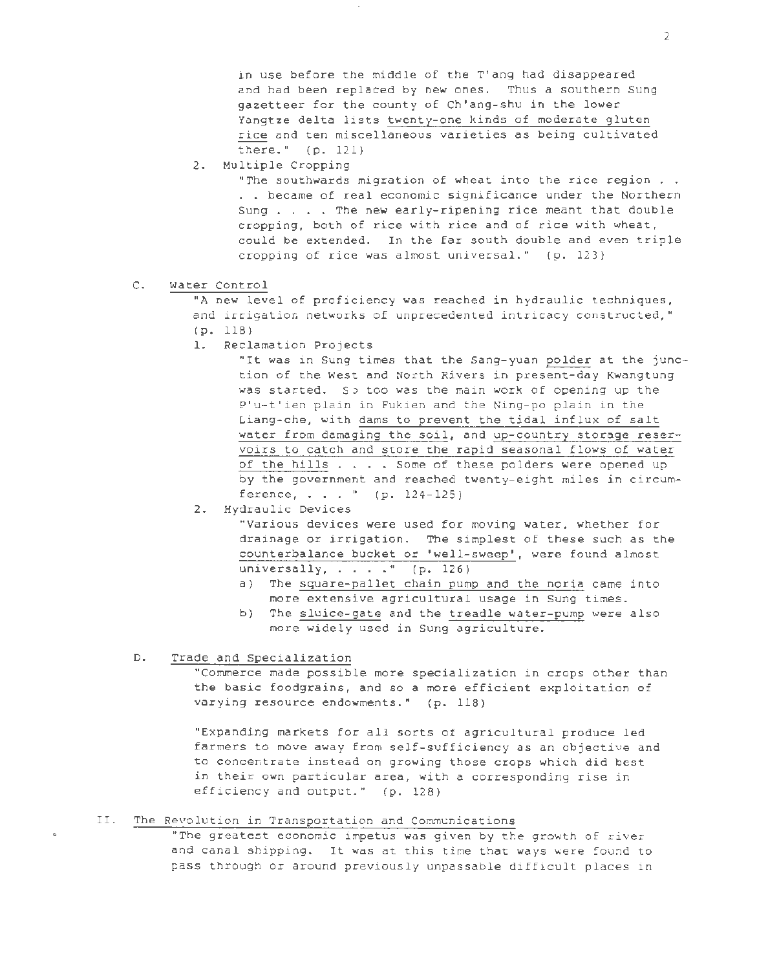*in* use before the middle of the T'ang had disappeared and had been replaced by new ones. Thus a southern Sung gazetteer for the county of Ch'ang-shu *in* the lower Yangtze delta lists twenty-one kinds of moderate gluten *rice* and ten miscellaneous varieties as being cultivated there."  $(p. 121)$ 

2. Multiple Cropping

"The southwards migration of wheat into the rice region . . Ine Southwards ingration of wheat filed the fight ...<br>
Sung .... The new early-ripening rice meant that double cropping, both of rice with rice and of rice with wheat, could be extended. In the far south double and even triple cropping of rice was almost universal."  $(p. 123)$ 

C. Water Control

"A new level of proficiency was reached in hydraulic techniques, and irrigation networks of unprecedented intricacy constructed," (p. 118)

1. Reclamation Projects

"It was in Sung times that the Sang-yuan polder at the junction of the West and North Rivers in present-day Kwangtung was started. So too was the main work of opening up the P'u-t'ien plain in Fukien and the Ning-po plain in the Liang-che, with dams to prevent the tidal influx of salt water from damaging the soil, and up-country storage reservoirs to catch and store the rapid seasonal flows of water of the hills . . . . Some of these polders were opened up by the government and reached twenty-eight miles in circum-<br>ference, ... " (p. 124-125)

2. Hydraulic Devices

"Various devices were used for moving water, whether for drainage or irrigation. The simplest of these such as the counterbalance bucket or 'well-sweep', were found almost universally, . . . . " (p. 126)

- a) The square-pallet chain pump and the noria came into more extensive agricultural usage *in* Sung times.
- b) The sluice-gate and the treadle water-pump were also more widely used in Sung agriculture .
- D. Trade and Specialization

"Commerce made possible more specialization in crops other than the basic foodgrains, and so a more efficient exploitation of varying resource endowments." (p. 118)

"Expanding markets for all sorts of agricultural produce led farmers to move away from self-sufficiency as an objective and to concentrate instead on growing those crops which did best in their own particular area, with a corresponding rise in efficiency and output." (p. 128)

# II. The Revolution in Transportation and Communications

"The greatest economic impetus was given by the growth of river and canal shipping. It was at this time that ways were found to pass through or around previously unpassable difficult places in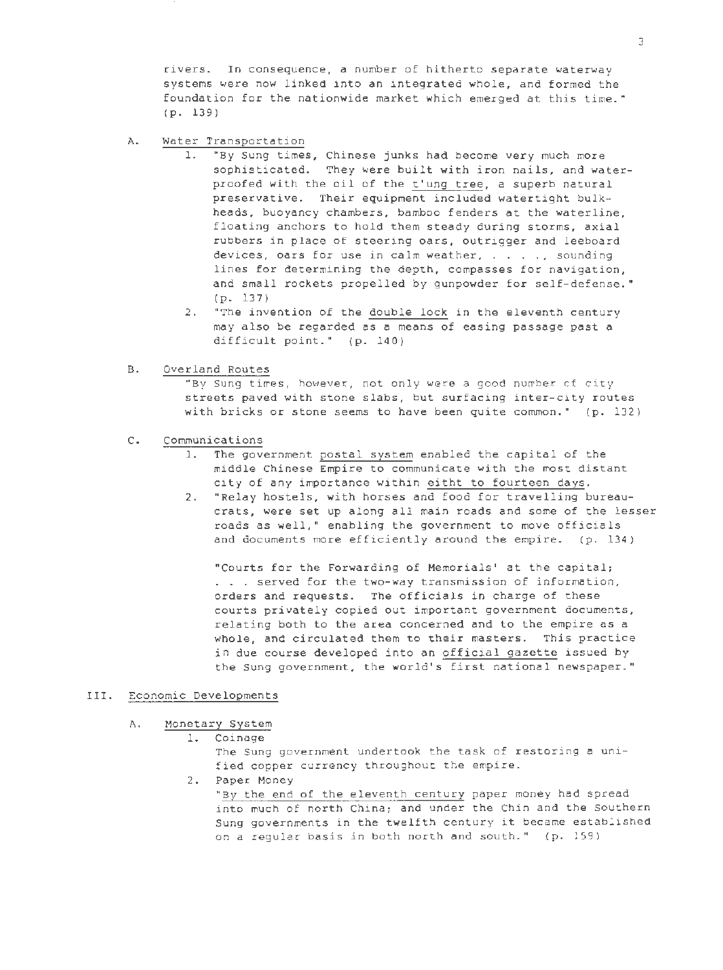rivers. In consequence, a number of hitherto separate waterway systems were now linked into an integrated whole, and formed the foundation for the nationwide market which emerged at this time . " (p. 139)

- A. water Transportation
	- 1. "By Sung times, Chinese junks had become very much more sophisticated. They were built with iron nails, and waterproofed with the oil of the t'ung tree, a superb natural preservative. Their equipment included watertight bulkheads, buoyancy chambers, bamboo fenders at the waterline, floating anchors to hold them steady during storms, axial rubbers in place of steering oars, outrigger and leeboard devices, oars for use in calm weather, . . . . , sounding lines for determining the depth, compasses for navigation, and small rockets propelled by gunpowder for self-defense." ( p. 137)
	- 2. "The invention of the double lock in the eleventh century may also be regarded as a means of easing passage past a difficult point."  $(p. 140)$
- B. Overland Routes

"By Sung times, however, not only were a good number of city streets paved with stone slabs, but surfacing inter-city routes with bricks or stone seems to have been quite common." (p. 132)

- c. Communications
	- 1. The government postal system enabled the capital of the middle Chinese Empire to communicate with the most distant city of any importance within eitht to fourteen days.
	- 2. "Relay hostels, with horses and food for travelling bureaucrats, were set up along all main roads and some of the lesser roads as well," enabling the government to move officials and documents more efficiently around the empire. (p. 134)

"Courts for the Forwarding of Memorials' at the capital; . . . served for the two-way transmission of information, orders and requests. The officials in charge of these courts privately copied out important government documents, relating both to the area concerned and to the empire as a whole, and circulated them to their masters. This practice in due course developed into an official gazette issued by the sung government, the world's first national newspaper."

#### III. Economic Developments

- A. Monetary System
	- l. Coinage

The sung government undertook the task of restoring a unified copper currency throughout the empire.

2. Paper Money

"By the end of the eleventh century paper money had spread into much of north China; and under the Chin and the Southern Sung governments in the twelfth century it became established on a regular basis in both north and south." (p. 159)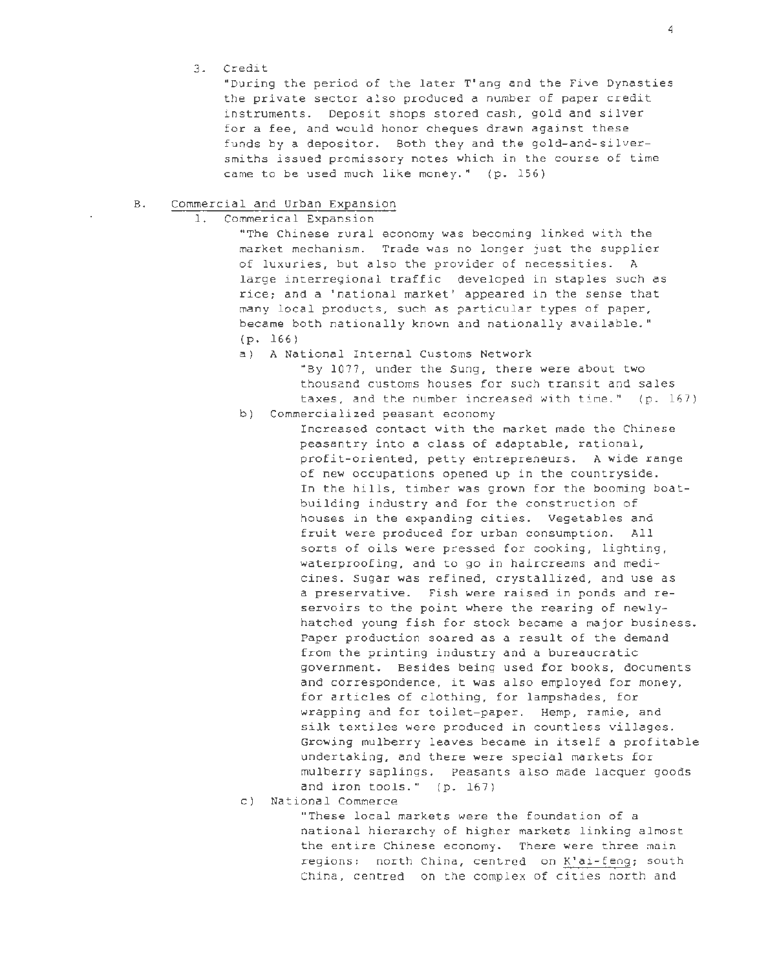3. Credit

"During the period of the later T'ang and the Five Dynasties the private sector also produced a number of paper credit instruments. Deposit shops stored cash, gold and silver for a fee, and would honor cheques drawn against these funds by a depositor. Both they and the gold-and-silversmiths issued promissory notes which in the course of time came to be used much like money." (p. 156)

# B. Commercial and Urban Expansion

1. Commerical Expansion

"The Chinese rural economy was becoming linked with the market mechanism. Trade was no longer just the supplier of luxuries, but also the provider of necessities. A large interregional traffic developed in staples such as *rice:* and a 'national market' appeared in the sense that many local products, such as particular types of paper, became both nationally known and nationally available." (p. 166)

- a) A National Internal customs Network "By 1077, under the Sung, there were about two thousand customs houses for such transit and sales taxes, and the number increased with time."  $(p. 167)$
- b) Commercialized peasant economy
	- Increased contact with the market made the Chinese peasantry into a class of adaptable, rational, profit-oriented, petty entrepreneurs. A wide range of new occupations opened up in the countryside. In the hills, timber was grown for the booming boatbuilding industry and for the construction of houses in the expanding cities. Vegetables and fruit were produced for urban consumption. All sorts of oils were pressed for cooking, lighting, waterproofing, and to go in haircreams and medicines. Sugar was refined, crystallized, and use as a preservative. Fish were raised in ponds and reservoirs to the point where the rearing of newlyhatched young fish for stock became a major business. Paper production soared as a result of the demand from the printing industry and a bureaucratic government. Besides being used for books, documents and correspondence, it was also employed for money, for articles of clothing, for lampshades, for wrapping and for toilet-paper. Hemp, ramie, and silk textiles were produced in countless villages. Growing mulberry leaves became in itself a profitable undertaking, and there were special markets for mulberry saplings. Peasants also made lacquer goods and iron tools." (p. 167)
- c) National Commerce

"These local markets were the foundation of a national hierarchy of higher markets linking almost the entire Chinese economy. There were three main regions: north China, centred on K'ai-feng; south China, centred on the complex of cities north and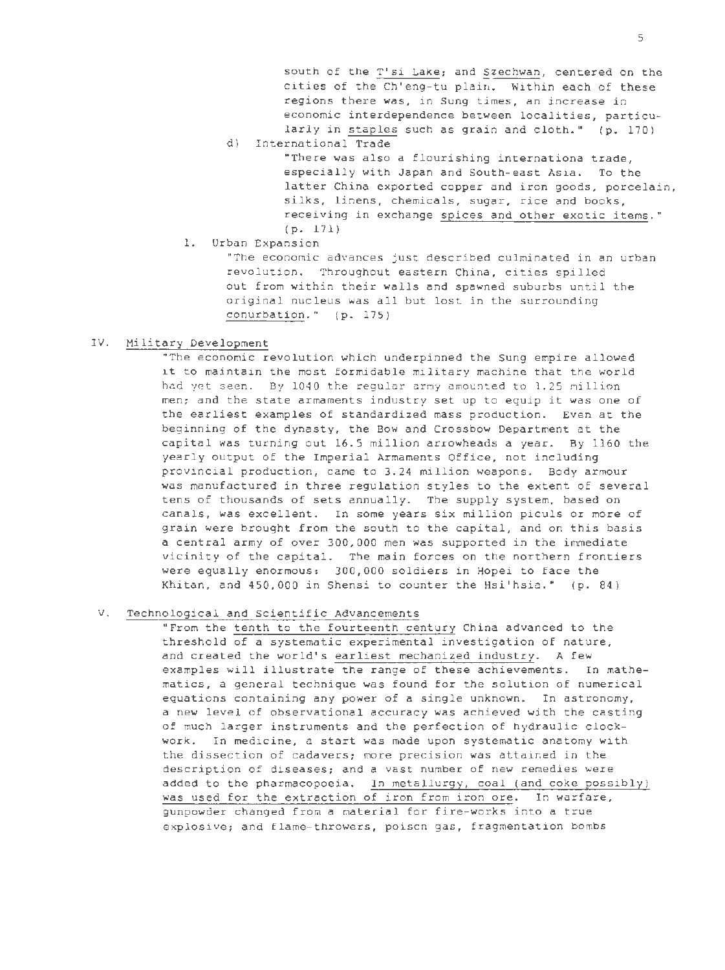south of the T'si Lake; and Szechwan, centered on the cities of the Ch'eng-tu plain. Within each of these regions there was, *in* Sung times, an increase *in*  economic interdependence between localities, particularly *in* staples such as grain and cloth." (p. 170) d) International Trade

"There was also a flourishing internationa trade, especially with Japan and South-east Asia. To the latter China exported copper and iron goods, porcelain, silks, linens, chemicals, sugar, *rice* and books, receiving in exchange spices and other exotic items." (p. 171)

1. Urban Expansion

"The economic advances just described culminated in an urban revolution. Throughout eastern China, cities spilled out from within their walls and spawned suburbs until the original nucleus was all but lost in the surrounding conurbation." (p. 175)

# IV. Military Development

"The economic revolution which underpinned the Sung empire allowed it to maintain the most formidable military machine that the world had yet seen. By 1040 the regular army amounted to 1.25 million men; and the state armaments industry set up to equip it was one of the earliest examples of standardized mass production. Even at the beginning of the dynasty, the Bow and Crossbow Department at the capital was turning out 16.5 million arrowheads a year. By 1160 the yearly output of the Imperial Armaments Office, not including provincial production, came to 3.24 million weapons. Body armour was manufactured *in* three regulation styles to the extent of several tens of thousands of sets annually. The supply system, based on canals, was excellent. In some years six million piculs or more of grain were brought from the south to the capital, and on this basis a central army of over 300,000 men was supported in the immediate vicinity of the capital. The main forces on the northern frontiers were equally enormous: 300,000 soldiers in Hopei to face the Khitan, and 450,000 in Shensi to counter the Hsi'hsia." (p. 84)

# v. Technological and Scientific Advancements

"From the tenth to the fourteenth century China advanced to the threshold of a systematic experimental investigation of nature, and created the world's earliest mechanized industry. A few examples will illustrate the range of these achievements. In mathematics, a general technique was found for the solution of numerical equations containing any power of a single unknown. In astronomy, a new level of observational accuracy was achieved with the casting of much larger instruments and the perfection of hydraulic clockwork. In medicine, a start was made upon systematic anatomy with the dissection of cadavers; more precision was attained in the description of diseases; and a vast number of new remedies were added to the pharmacopoeia. In metallurgy, coal (and coke possibly) was used for the extraction of *iron* from *iron* ore. In warfare, gunpowder changed from a material for fire-works into a true explosive; and flame-throwers, poison gas, fragmentation bombs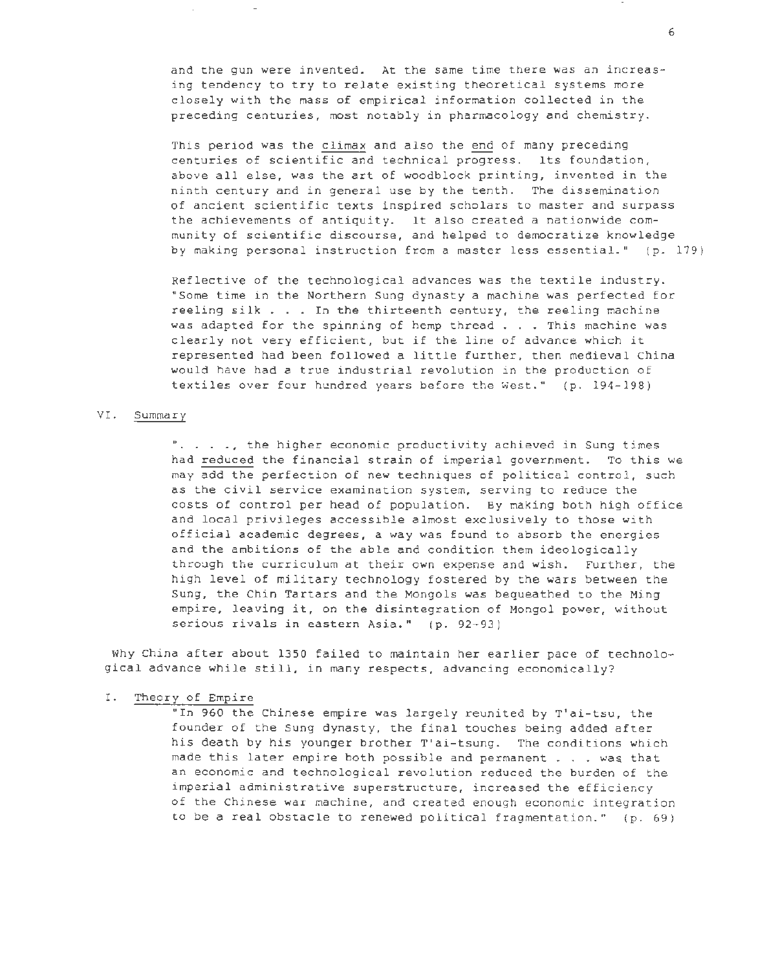and the gun were invented. At the same time there was an increasing tendency to try to relate existing theoretical systems more closely with the mass of empirical information collected in the preceding centuries, most notably in pharmacology and chemistry.

This period was the climax and also the end of many preceding centuries of scientific and technical progress. Its foundation, above all else, was the art of woodblock printing, invented *in* the ninth century and in general use by the tenth. The dissemination of ancient scientific texts inspired scholars to master and surpass the achievements of antiquity. It also created a nationwide community of scientific discourse, and helped to democratize knowledge by making personal instruction from a master less essential." (p. 179)

Reflective of the technological advances was the textile industry. "Some time in the Northern Sung dynasty a machine was perfected for reeling silk ... In the thirteenth century, the reeling machine was adapted for the spinning of hemp thread . . . This machine was clearly not very efficient, but if the line of advance which it represented had been followed a little further, then medieval China would have had a true industrial revolution in the production of textiles over four hundred years before the West." (p. 194-198)

### VI. Summary

.. , the higher economic productivity achieved in Sung times had reduced the financial strain of imperial government. To this we may add the perfection of new techniques of political control, such as the civil service examination system, serving to reduce the costs of control per head of population . By making both high office and local privileges accessible almost exclusively to those with official academic degrees, a way was found to absorb the energies and the ambitions of the able and condition them ideologically through the curriculum at their own expense and wish. Further, the high level of military technology fostered by the wars between the Sung, the Chin Tartars and the Mongols was bequeathed to the Ming empire, leaving it, on the disintegration of Mongol power, without serious rivals in eastern Asia." (p. 92-93)

Why China after about 1350 failed to maintain her earlier pace of technological advance while still, in many respects, advancing economically?

# I. Theory of Empire

"In 960 the Chinese empire was largely reunited by T'ai-tsu, the founder of the Sung dynasty, the final touches being added after his death by his younger brother T'ai-tsung. The conditions which made this later empire both possible and permanent . . . was that an economic and technological revolution reduced the burden of the imperial administrative superstructure, increased the efficiency of the Chinese war machine, and created enough economic integration to be a real obstacle to renewed political fragmentation." (p. 69)

6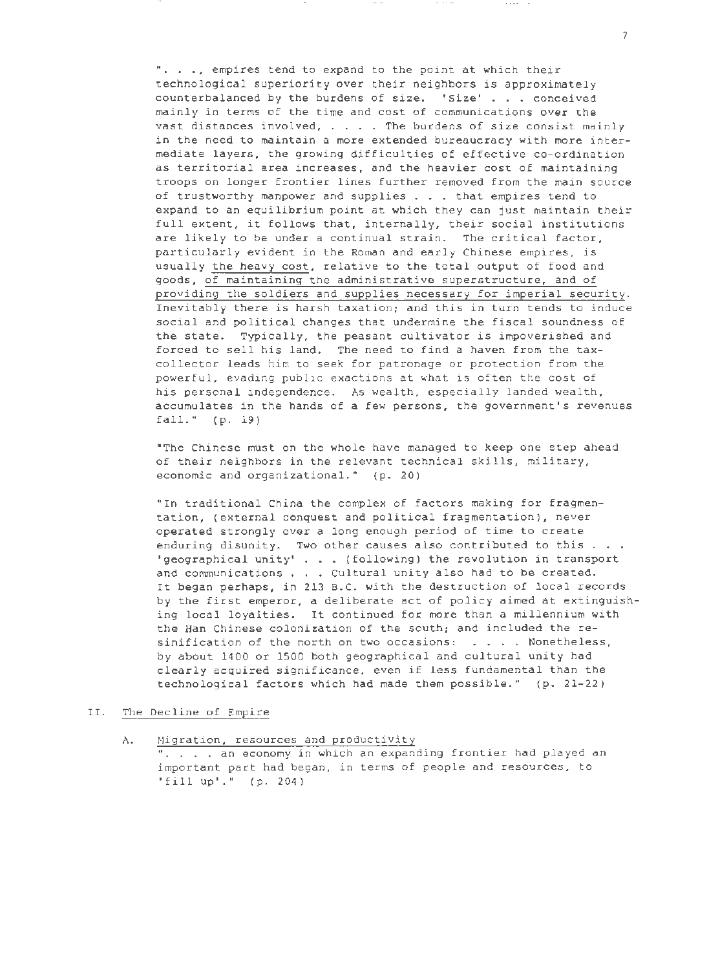.. , empires tend to expand to the point at which their technological superiority over their neighbors is approximately counterbalanced by the burdens of size. 'Size' ... conceived mainly in terms of the time and cost of communications over the vast distances involved, . . . . The burdens of size consist mainly in the need to maintain a more extended bureaucracy with more intermediate layers, the growing difficulties of effective co-ordination as territorial area increases, and the heavier cost of maintaining troops on longer frontier lines further removed from the main source of trustworthy manpower and supplies . . . that empires tend to expand to an equilibrium point at which they can just maintain their full extent, it follows that, internally, their social institutions are likely to be under a continual strain. The critical factor, particularly evident in the Roman and early Chinese empires, *is*  usually the heavy cost, relative to the total output of food and goods, of maintaining the administrative superstructure, and of providing the soldiers and supplies necessary for imperial security. Inevitably there *is* harsh taxation; and this in turn tends to induce social and political changes that undermine the fiscal soundness of the state. Typically, the peasant cultivator *is* impoverished and forced to sell his land. The need to find a haven from the taxcollector leads him to seek for patronage or protection from the powerful, evading public exactions at what is often the cost of his personal independence. As wealth, especially landed wealth, accumulates in the hands of a few persons, the government's revenues  $fall. " (p. 19)$ 

"The Chinese must on the whole have managed to keep one step ahead of their neighbors in the relevant technical skills, military, economic and organizational." (p. 20)

"In traditional China the complex of factors making for fragmentation, (external conquest and political fragmentation), never operated strongly over a long enough period of time to create enduring disunity. Two other causes also contributed to this . . . endaring disamity: The sendit cades dies concributed to this : . .<br>'geographical unity' . . . (following) the revolution in transport<br>and communications . . . Cultural unity also had to be created. and communications  $\ldots$  Cultural unity also had to be created.<br>It began perhaps, in 213 B.C. with the destruction of local records by the first emperor, a deliberate act of policy aimed at extinguishing local loyalties. It continued for more than a millennium with the Han Chinese colonization of the south; and included the resinification of the north on two occasions: . . . . Nonetheless, by about 1400 or 1500 both geographical and cultural unity had clearly acquired significance, even if less fundamental than the technological factors which had made them possible." (p. 21-22)

# II. The Decline of Empire

#### A. Migration, resources and productivity

.. an economy in which an expanding frontier had played an important part had began, in terms of people and resources, to 'fill up'." (p. 204)

7